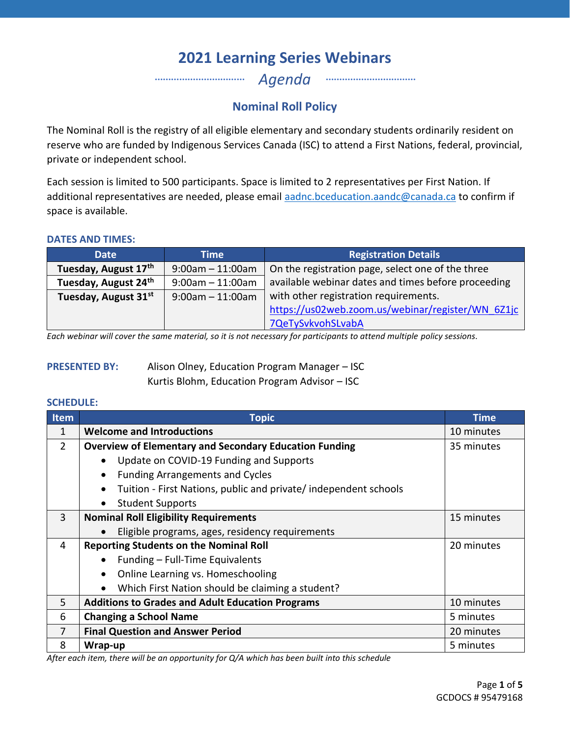*Agenda* …………………………… ……………………………

## **Nominal Roll Policy**

The Nominal Roll is the registry of all eligible elementary and secondary students ordinarily resident on reserve who are funded by Indigenous Services Canada (ISC) to attend a First Nations, federal, provincial, private or independent school.

Each session is limited to 500 participants. Space is limited to 2 representatives per First Nation. If additional representatives are needed, please email [aadnc.bceducation.aandc@canada.ca](mailto:aadnc.bceducation.aandc@canada.ca) to confirm if space is available.

### **DATES AND TIMES:**

| <b>Date</b>          | Time                  | <b>Registration Details</b>                         |
|----------------------|-----------------------|-----------------------------------------------------|
| Tuesday, August 17th | $9:00am - 11:00am$    | On the registration page, select one of the three   |
| Tuesday, August 24th | $9:00$ am $-11:00$ am | available webinar dates and times before proceeding |
| Tuesday, August 31st | $9:00$ am $-11:00$ am | with other registration requirements.               |
|                      |                       | https://us02web.zoom.us/webinar/register/WN 6Z1jc   |
|                      |                       | 7QeTySvkvohSLvabA                                   |

*Each webinar will cover the same material, so it is not necessary for participants to attend multiple policy sessions*.

| <b>PRESENTED BY:</b> | Alison Olney, Education Program Manager - ISC |
|----------------------|-----------------------------------------------|
|                      | Kurtis Blohm, Education Program Advisor - ISC |

#### **SCHEDULE:**

| <b>Item</b>    | <b>Topic</b>                                                          | <b>Time</b> |
|----------------|-----------------------------------------------------------------------|-------------|
| 1              | <b>Welcome and Introductions</b>                                      | 10 minutes  |
| $\overline{2}$ | <b>Overview of Elementary and Secondary Education Funding</b>         | 35 minutes  |
|                | Update on COVID-19 Funding and Supports                               |             |
|                | <b>Funding Arrangements and Cycles</b>                                |             |
|                | Tuition - First Nations, public and private/independent schools       |             |
|                | <b>Student Supports</b>                                               |             |
| 3              | <b>Nominal Roll Eligibility Requirements</b>                          | 15 minutes  |
|                | Eligible programs, ages, residency requirements                       |             |
| 4              | <b>Reporting Students on the Nominal Roll</b>                         | 20 minutes  |
|                | Funding - Full-Time Equivalents                                       |             |
|                | Online Learning vs. Homeschooling<br>$\bullet$                        |             |
|                | Which First Nation should be claiming a student?                      |             |
| 5              | <b>Additions to Grades and Adult Education Programs</b><br>10 minutes |             |
| 6              | <b>Changing a School Name</b><br>5 minutes                            |             |
| 7              | <b>Final Question and Answer Period</b><br>20 minutes                 |             |
| 8              | Wrap-up                                                               | 5 minutes   |

*After each item, there will be an opportunity for Q/A which has been built into this schedule*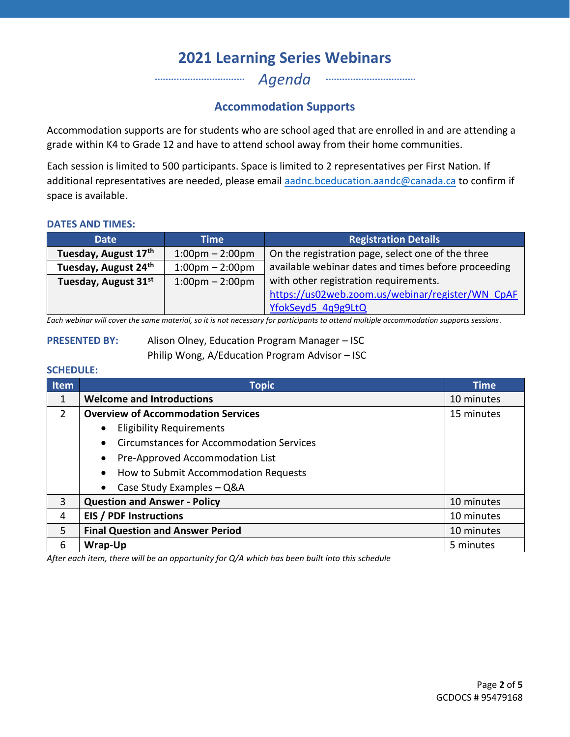*Agenda* …………………………… ……………………………

### **Accommodation Supports**

Accommodation supports are for students who are school aged that are enrolled in and are attending a grade within K4 to Grade 12 and have to attend school away from their home communities.

Each session is limited to 500 participants. Space is limited to 2 representatives per First Nation. If additional representatives are needed, please email [aadnc.bceducation.aandc@canada.ca](mailto:aadnc.bceducation.aandc@canada.ca) to confirm if space is available.

#### **DATES AND TIMES:**

| <b>Date</b>          | Time                              | <b>Registration Details</b>                         |
|----------------------|-----------------------------------|-----------------------------------------------------|
| Tuesday, August 17th | $1:00 \text{pm} - 2:00 \text{pm}$ | On the registration page, select one of the three   |
| Tuesday, August 24th | $1:00 \text{pm} - 2:00 \text{pm}$ | available webinar dates and times before proceeding |
| Tuesday, August 31st | $1:00 \text{pm} - 2:00 \text{pm}$ | with other registration requirements.               |
|                      |                                   | https://us02web.zoom.us/webinar/register/WN CpAF    |
|                      |                                   | YfokSeyd5 4q9g9LtQ                                  |

*Each webinar will cover the same material, so it is not necessary for participants to attend multiple accommodation supports sessions*.

**PRESENTED BY:** Alison Olney, Education Program Manager – ISC

Philip Wong, A/Education Program Advisor – ISC

#### **SCHEDULE:**

| <b>Item</b> | <b>Topic</b>                                          | <b>Time</b> |  |
|-------------|-------------------------------------------------------|-------------|--|
| 1           | <b>Welcome and Introductions</b>                      | 10 minutes  |  |
| 2           | <b>Overview of Accommodation Services</b>             | 15 minutes  |  |
|             | <b>Eligibility Requirements</b>                       |             |  |
|             | <b>Circumstances for Accommodation Services</b>       |             |  |
|             | Pre-Approved Accommodation List                       |             |  |
|             | How to Submit Accommodation Requests                  |             |  |
|             | Case Study Examples - Q&A                             |             |  |
| 3           | <b>Question and Answer - Policy</b><br>10 minutes     |             |  |
| 4           | <b>EIS / PDF Instructions</b><br>10 minutes           |             |  |
| 5           | <b>Final Question and Answer Period</b><br>10 minutes |             |  |
| 6           | 5 minutes<br>Wrap-Up                                  |             |  |

*After each item, there will be an opportunity for Q/A which has been built into this schedule*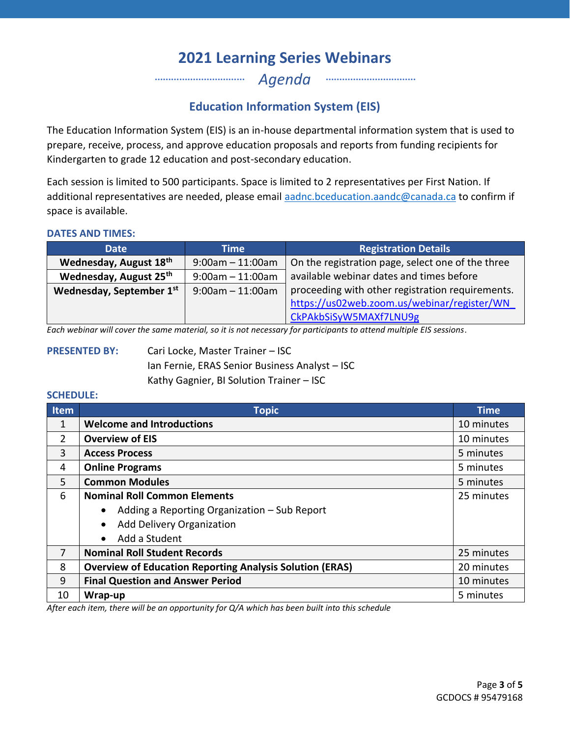*Agenda* …………………………… ……………………………

## **Education Information System (EIS)**

The Education Information System (EIS) is an in-house departmental information system that is used to prepare, receive, process, and approve education proposals and reports from funding recipients for Kindergarten to grade 12 education and post-secondary education.

Each session is limited to 500 participants. Space is limited to 2 representatives per First Nation. If additional representatives are needed, please email [aadnc.bceducation.aandc@canada.ca](mailto:aadnc.bceducation.aandc@canada.ca) to confirm if space is available.

#### **DATES AND TIMES:**

| <b>Date</b>                                       | Time                  | <b>Registration Details</b>                       |
|---------------------------------------------------|-----------------------|---------------------------------------------------|
| Wednesday, August 18th                            | $9:00am - 11:00am$    | On the registration page, select one of the three |
| Wednesday, August 25th                            | $9:00$ am $-11:00$ am | available webinar dates and times before          |
| Wednesday, September 1st<br>$9:00$ am $-11:00$ am |                       | proceeding with other registration requirements.  |
|                                                   |                       | https://us02web.zoom.us/webinar/register/WN       |
|                                                   |                       | CkPAkbSiSyW5MAXf7LNU9g                            |

*Each webinar will cover the same material, so it is not necessary for participants to attend multiple EIS sessions*.

**PRESENTED BY:** Cari Locke, Master Trainer – ISC Ian Fernie, ERAS Senior Business Analyst – ISC Kathy Gagnier, BI Solution Trainer – ISC

#### **SCHEDULE:**

| Item           | <b>Topic</b>                                                                  | <b>Time</b> |
|----------------|-------------------------------------------------------------------------------|-------------|
| 1              | <b>Welcome and Introductions</b>                                              | 10 minutes  |
| $\overline{2}$ | <b>Overview of EIS</b>                                                        | 10 minutes  |
| 3              | <b>Access Process</b>                                                         | 5 minutes   |
| 4              | <b>Online Programs</b><br>5 minutes                                           |             |
| 5              | <b>Common Modules</b><br>5 minutes                                            |             |
| 6              | <b>Nominal Roll Common Elements</b>                                           | 25 minutes  |
|                | Adding a Reporting Organization - Sub Report                                  |             |
|                | Add Delivery Organization                                                     |             |
|                | Add a Student<br>$\bullet$                                                    |             |
| 7              | <b>Nominal Roll Student Records</b><br>25 minutes                             |             |
| 8              | <b>Overview of Education Reporting Analysis Solution (ERAS)</b><br>20 minutes |             |
| 9              | <b>Final Question and Answer Period</b><br>10 minutes                         |             |
| 10             | 5 minutes<br>Wrap-up                                                          |             |

*After each item, there will be an opportunity for Q/A which has been built into this schedule*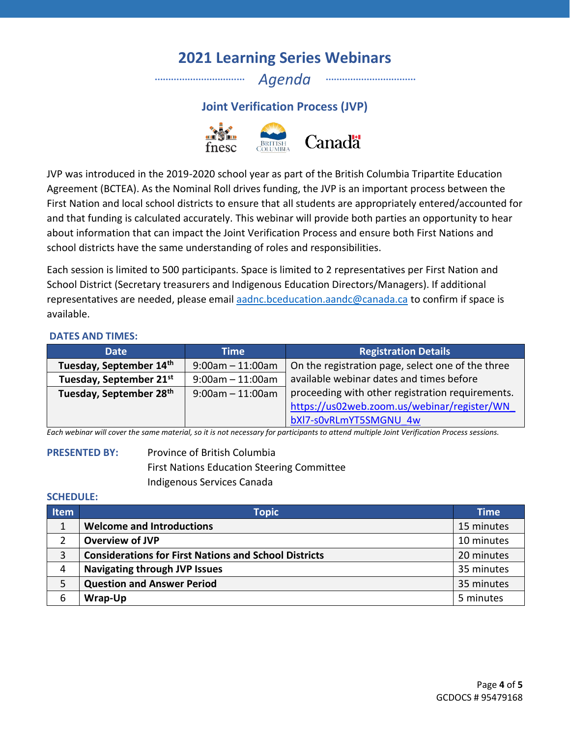*Agenda*

…………………………… ……………………………

**Joint Verification Process (JVP)**



JVP was introduced in the 2019-2020 school year as part of the British Columbia Tripartite Education Agreement (BCTEA). As the Nominal Roll drives funding, the JVP is an important process between the First Nation and local school districts to ensure that all students are appropriately entered/accounted for and that funding is calculated accurately. This webinar will provide both parties an opportunity to hear about information that can impact the Joint Verification Process and ensure both First Nations and school districts have the same understanding of roles and responsibilities.

Each session is limited to 500 participants. Space is limited to 2 representatives per First Nation and School District (Secretary treasurers and Indigenous Education Directors/Managers). If additional representatives are needed, please email [aadnc.bceducation.aandc@canada.ca](mailto:aadnc.bceducation.aandc@canada.ca) to confirm if space is available.

#### **DATES AND TIMES:**

| <b>Date</b>                         | <b>Time</b>           | <b>Registration Details</b>                       |  |
|-------------------------------------|-----------------------|---------------------------------------------------|--|
| Tuesday, September 14th             | $9:00am - 11:00am$    | On the registration page, select one of the three |  |
| Tuesday, September 21st             | $9:00$ am $-11:00$ am | available webinar dates and times before          |  |
| Tuesday, September 28 <sup>th</sup> | $9:00$ am $-11:00$ am | proceeding with other registration requirements.  |  |
|                                     |                       | https://us02web.zoom.us/webinar/register/WN       |  |
|                                     |                       | bXI7-s0vRLmYT5SMGNU 4w                            |  |

*Each webinar will cover the same material, so it is not necessary for participants to attend multiple Joint Verification Process sessions.*

### **PRESENTED BY:** Province of British Columbia First Nations Education Steering Committee Indigenous Services Canada

#### **SCHEDULE:**

| <b>Item</b> | <b>Topic</b>                                                 | <b>Time</b> |
|-------------|--------------------------------------------------------------|-------------|
|             | <b>Welcome and Introductions</b>                             | 15 minutes  |
|             | <b>Overview of JVP</b>                                       | 10 minutes  |
| 3           | <b>Considerations for First Nations and School Districts</b> | 20 minutes  |
| 4           | <b>Navigating through JVP Issues</b>                         | 35 minutes  |
| 5           | <b>Question and Answer Period</b>                            | 35 minutes  |
| 6           | Wrap-Up                                                      | 5 minutes   |